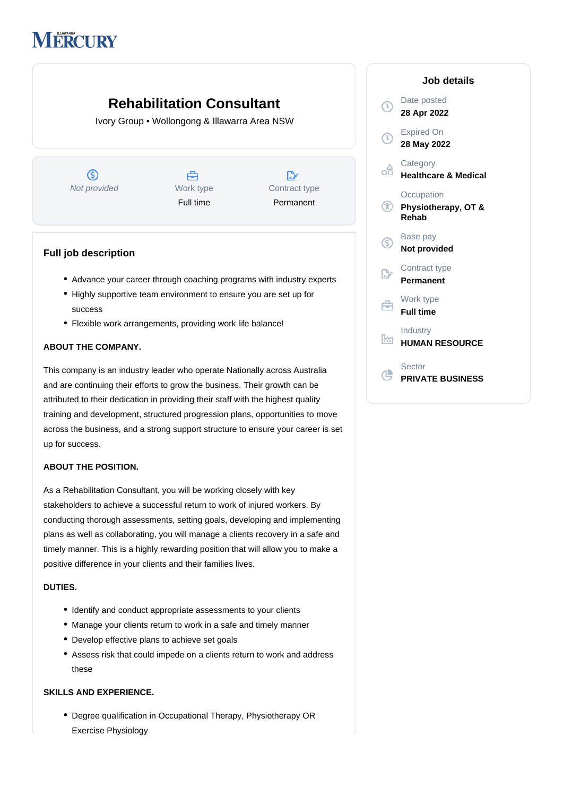# **MERCURY**

## **Rehabilitation Consultant**

Ivory Group • Wollongong & Illawarra Area NSW



### **Full job description**

- Advance your career through coaching programs with industry experts
- Highly supportive team environment to ensure you are set up for success
- Flexible work arrangements, providing work life balance!

#### **ABOUT THE COMPANY.**

This company is an industry leader who operate Nationally across Australia and are continuing their efforts to grow the business. Their growth can be attributed to their dedication in providing their staff with the highest quality training and development, structured progression plans, opportunities to move across the business, and a strong support structure to ensure your career is set up for success.

#### **ABOUT THE POSITION.**

As a Rehabilitation Consultant, you will be working closely with key stakeholders to achieve a successful return to work of injured workers. By conducting thorough assessments, setting goals, developing and implementing plans as well as collaborating, you will manage a clients recovery in a safe and timely manner. This is a highly rewarding position that will allow you to make a positive difference in your clients and their families lives.

#### **DUTIES.**

- Identify and conduct appropriate assessments to your clients
- Manage your clients return to work in a safe and timely manner
- Develop effective plans to achieve set goals
- Assess risk that could impede on a clients return to work and address these

#### **SKILLS AND EXPERIENCE.**

Degree qualification in Occupational Therapy, Physiotherapy OR Exercise Physiology

|                           | Job details                                 |
|---------------------------|---------------------------------------------|
| Î,                        | Date posted<br>28 Apr 2022                  |
| $\left(\mathbb{C}\right)$ | <b>Expired On</b><br>28 May 2022            |
| £                         | Category<br><b>Healthcare &amp; Medical</b> |
| $^\text{\tiny{(f)}}$      | Occupation<br>Physiotherapy, OT &<br>Rehab  |
| G)                        | Base pay<br><b>Not provided</b>             |
|                           | Contract type<br>Permanent                  |
|                           | Work type<br><b>Full time</b>               |
| ŀм                        | Industry<br><b>HUMAN RESOURCE</b>           |
|                           | Sector<br><b>PRIVATE BUSINESS</b>           |